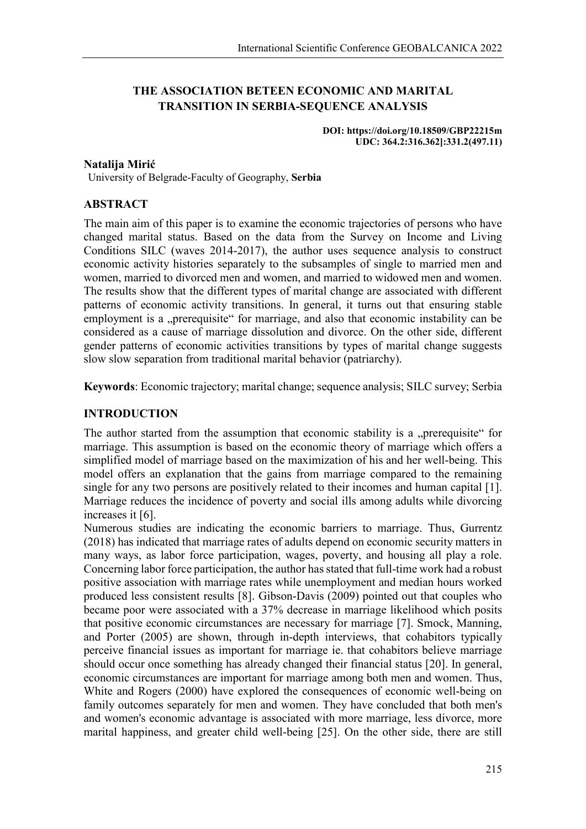# **THE ASSOCIATION BETEEN ECONOMIC AND MARITAL TRANSITION IN SERBIA-SEQUENCE ANALYSIS**

**DOI: https://doi.org/10.18509/GBP22215m UDC: 364.2:316.362]:331.2(497.11)**

## **Natalija Mirić**

University of Belgrade-Faculty of Geography, **Serbia**

# **ABSTRACT**

The main aim of this paper is to examine the economic trajectories of persons who have changed marital status. Based on the data from the Survey on Income and Living Conditions SILC (waves 2014-2017), the author uses sequence analysis to construct economic activity histories separately to the subsamples of single to married men and women, married to divorced men and women, and married to widowed men and women. The results show that the different types of marital change are associated with different patterns of economic activity transitions. In general, it turns out that ensuring stable employment is a "prerequisite" for marriage, and also that economic instability can be considered as a cause of marriage dissolution and divorce. On the other side, different gender patterns of economic activities transitions by types of marital change suggests slow slow separation from traditional marital behavior (patriarchy).

**Keywords**: Economic trajectory; marital change; sequence analysis; SILC survey; Serbia

# **INTRODUCTION**

The author started from the assumption that economic stability is a "prerequisite" for marriage. This assumption is based on the economic theory of marriage which offers a simplified model of marriage based on the maximization of his and her well-being. This model offers an explanation that the gains from marriage compared to the remaining single for any two persons are positively related to their incomes and human capital [1]. Marriage reduces the incidence of poverty and social ills among adults while divorcing increases it [6].

Numerous studies are indicating the economic barriers to marriage. Thus, Gurrentz (2018) has indicated that marriage rates of adults depend on economic security matters in many ways, as labor force participation, wages, poverty, and housing all play a role. Concerning labor force participation, the author has stated that full-time work had a robust positive association with marriage rates while unemployment and median hours worked produced less consistent results [8]. Gibson-Davis (2009) pointed out that couples who became poor were associated with a 37% decrease in marriage likelihood which posits that positive economic circumstances are necessary for marriage [7]. Smock, Manning, and Porter (2005) are shown, through in-depth interviews, that cohabitors typically perceive financial issues as important for marriage ie. that cohabitors believe marriage should occur once something has already changed their financial status [20]. In general, economic circumstances are important for marriage among both men and women. Thus, White and Rogers (2000) have explored the consequences of economic well-being on family outcomes separately for men and women. They have concluded that both men's and women's economic advantage is associated with more marriage, less divorce, more marital happiness, and greater child well‐being [25]. On the other side, there are still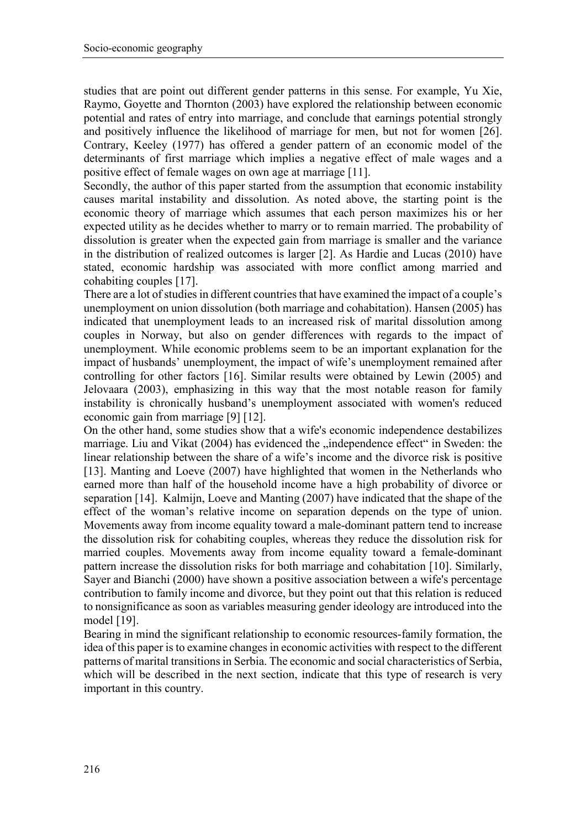studies that are point out different gender patterns in this sense. For example, Yu Xie, Raymo, Goyette and Thornton (2003) have explored the relationship between economic potential and rates of entry into marriage, and conclude that earnings potential strongly and positively influence the likelihood of marriage for men, but not for women [26]. Contrary, Keeley (1977) has offered a gender pattern of an economic model of the determinants of first marriage which implies a negative effect of male wages and a positive effect of female wages on own age at marriage [11].

Secondly, the author of this paper started from the assumption that economic instability causes marital instability and dissolution. As noted above, the starting point is the economic theory of marriage which assumes that each person maximizes his or her expected utility as he decides whether to marry or to remain married. The probability of dissolution is greater when the expected gain from marriage is smaller and the variance in the distribution of realized outcomes is larger [2]. As Hardie and Lucas (2010) have stated, economic hardship was associated with more conflict among married and cohabiting couples [17].

There are a lot of studies in different countries that have examined the impact of a couple's unemployment on union dissolution (both marriage and cohabitation). Hansen (2005) has indicated that unemployment leads to an increased risk of marital dissolution among couples in Norway, but also on gender differences with regards to the impact of unemployment. While economic problems seem to be an important explanation for the impact of husbands' unemployment, the impact of wife's unemployment remained after controlling for other factors [16]. Similar results were obtained by Lewin (2005) and Jelovaara (2003), emphasizing in this way that the most notable reason for family instability is chronically husband's unemployment associated with women's reduced economic gain from marriage [9] [12].

On the other hand, some studies show that a wife's economic independence destabilizes marriage. Liu and Vikat (2004) has evidenced the "independence effect" in Sweden: the linear relationship between the share of a wife's income and the divorce risk is positive [13]. Manting and Loeve (2007) have highlighted that women in the Netherlands who earned more than half of the household income have a high probability of divorce or separation [14]. Kalmijn, Loeve and Manting (2007) have indicated that the shape of the effect of the woman's relative income on separation depends on the type of union. Movements away from income equality toward a male-dominant pattern tend to increase the dissolution risk for cohabiting couples, whereas they reduce the dissolution risk for married couples. Movements away from income equality toward a female-dominant pattern increase the dissolution risks for both marriage and cohabitation [10]. Similarly, Sayer and Bianchi (2000) have shown a positive association between a wife's percentage contribution to family income and divorce, but they point out that this relation is reduced to nonsignificance as soon as variables measuring gender ideology are introduced into the model [19].

Bearing in mind the significant relationship to economic resources-family formation, the idea of this paper is to examine changes in economic activities with respect to the different patterns of marital transitions in Serbia. The economic and social characteristics of Serbia, which will be described in the next section, indicate that this type of research is very important in this country.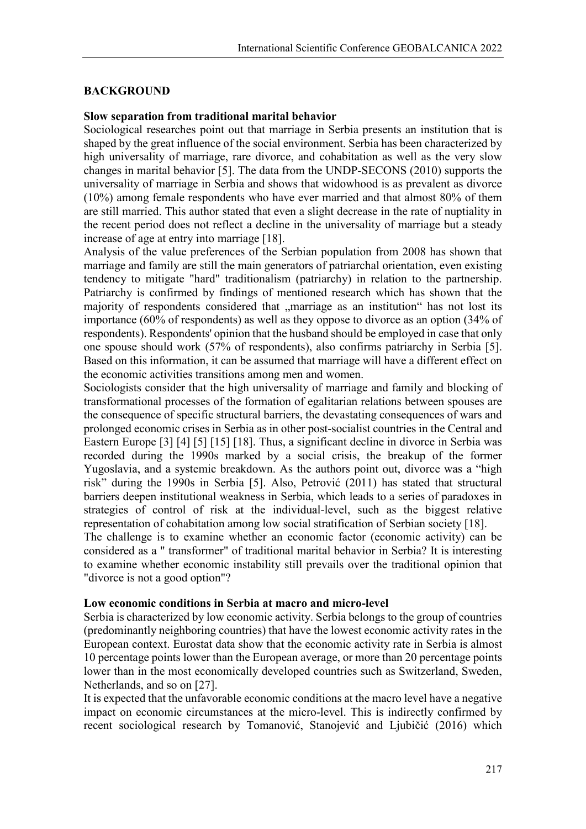#### **BACKGROUND**

#### **Slow separation from traditional marital behavior**

Sociological researches point out that marriage in Serbia presents an institution that is shaped by the great influence of the social environment. Serbia has been characterized by high universality of marriage, rare divorce, and cohabitation as well as the very slow changes in marital behavior [5]. The data from the UNDP-SECONS (2010) supports the universality of marriage in Serbia and shows that widowhood is as prevalent as divorce (10%) among female respondents who have ever married and that almost 80% of them are still married. This author stated that even a slight decrease in the rate of nuptiality in the recent period does not reflect a decline in the universality of marriage but a steady increase of age at entry into marriage [18].

Analysis of the value preferences of the Serbian population from 2008 has shown that marriage and family are still the main generators of patriarchal orientation, even existing tendency to mitigate "hard" traditionalism (patriarchy) in relation to the partnership. Patriarchy is confirmed by findings of mentioned research which has shown that the majority of respondents considered that "marriage as an institution" has not lost its importance (60% of respondents) as well as they oppose to divorce as an option (34% of respondents). Respondents' opinion that the husband should be employed in case that only one spouse should work (57% of respondents), also confirms patriarchy in Serbia [5]. Based on this information, it can be assumed that marriage will have a different effect on the economic activities transitions among men and women.

Sociologists consider that the high universality of marriage and family and blocking of transformational processes of the formation of egalitarian relations between spouses are the consequence of specific structural barriers, the devastating consequences of wars and prolonged economic crises in Serbia as in other post-socialist countries in the Central and Eastern Europe [3] [4] [5] [15] [18]. Thus, a significant decline in divorce in Serbia was recorded during the 1990s marked by a social crisis, the breakup of the former Yugoslavia, and a systemic breakdown. As the authors point out, divorce was a "high risk" during the 1990s in Serbia [5]. Also, Petrović (2011) has stated that structural barriers deepen institutional weakness in Serbia, which leads to a series of paradoxes in strategies of control of risk at the individual-level, such as the biggest relative representation of cohabitation among low social stratification of Serbian society [18].

The challenge is to examine whether an economic factor (economic activity) can be considered as a " transformer" of traditional marital behavior in Serbia? It is interesting to examine whether economic instability still prevails over the traditional opinion that "divorce is not a good option"?

# **Low economic conditions in Serbia at macro and micro-level**

Serbia is characterized by low economic activity. Serbia belongs to the group of countries (predominantly neighboring countries) that have the lowest economic activity rates in the European context. Eurostat data show that the economic activity rate in Serbia is almost 10 percentage points lower than the European average, or more than 20 percentage points lower than in the most economically developed countries such as Switzerland, Sweden, Netherlands, and so on [27].

It is expected that the unfavorable economic conditions at the macro level have a negative impact on economic circumstances at the micro-level. This is indirectly confirmed by recent sociological research by Tomanović, Stanojević and Ljubičić (2016) which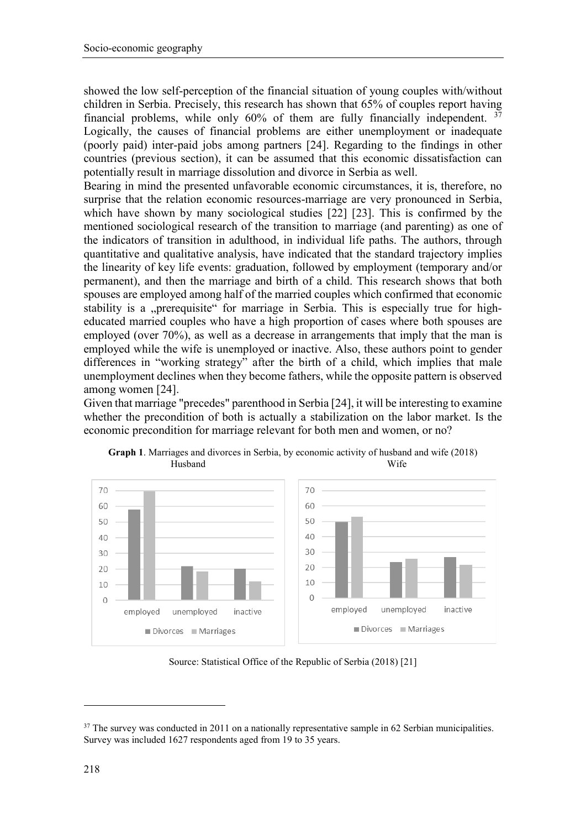showed the low self-perception of the financial situation of young couples with/without children in Serbia. Precisely, this research has shown that 65% of couples report having financial problems, while only  $60\%$  of them are fully financially independent.  $37$ Logically, the causes of financial problems are either unemployment or inadequate (poorly paid) inter-paid jobs among partners [24]. Regarding to the findings in other countries (previous section), it can be assumed that this economic dissatisfaction can potentially result in marriage dissolution and divorce in Serbia as well.

Bearing in mind the presented unfavorable economic circumstances, it is, therefore, no surprise that the relation economic resources-marriage are very pronounced in Serbia, which have shown by many sociological studies [22] [23]. This is confirmed by the mentioned sociological research of the transition to marriage (and parenting) as one of the indicators of transition in adulthood, in individual life paths. The authors, through quantitative and qualitative analysis, have indicated that the standard trajectory implies the linearity of key life events: graduation, followed by employment (temporary and/or permanent), and then the marriage and birth of a child. This research shows that both spouses are employed among half of the married couples which confirmed that economic stability is a "prerequisite" for marriage in Serbia. This is especially true for higheducated married couples who have a high proportion of cases where both spouses are employed (over 70%), as well as a decrease in arrangements that imply that the man is employed while the wife is unemployed or inactive. Also, these authors point to gender differences in "working strategy" after the birth of a child, which implies that male unemployment declines when they become fathers, while the opposite pattern is observed among women [24].

Given that marriage "precedes" parenthood in Serbia [24], it will be interesting to examine whether the precondition of both is actually a stabilization on the labor market. Is the economic precondition for marriage relevant for both men and women, or no?



**Graph 1**. Marriages and divorces in Serbia, by economic activity of husband and wife (2018) Husband Wife

Source: Statistical Office of the Republic of Serbia (2018) [21]

**.** 

<span id="page-3-0"></span> $37$  The survey was conducted in 2011 on a nationally representative sample in 62 Serbian municipalities. Survey was included 1627 respondents aged from 19 to 35 years.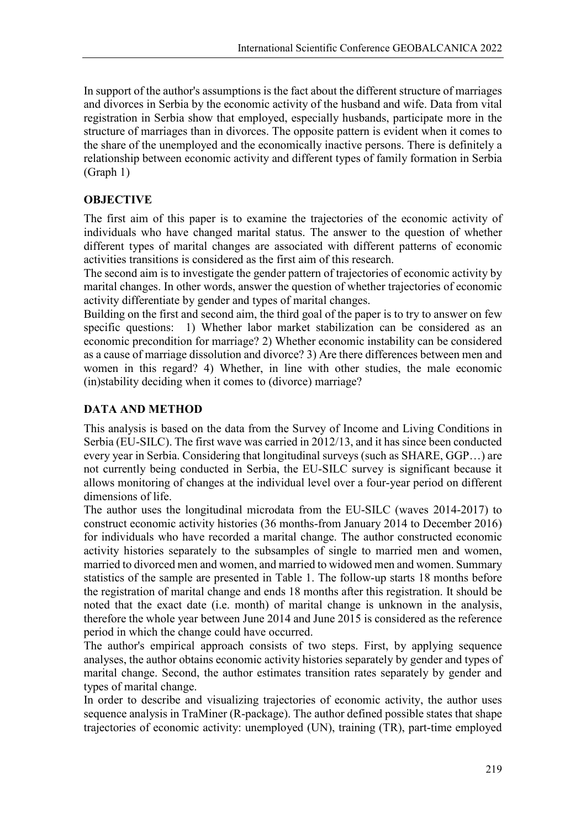In support of the author's assumptions is the fact about the different structure of marriages and divorces in Serbia by the economic activity of the husband and wife. Data from vital registration in Serbia show that employed, especially husbands, participate more in the structure of marriages than in divorces. The opposite pattern is evident when it comes to the share of the unemployed and the economically inactive persons. There is definitely a relationship between economic activity and different types of family formation in Serbia (Graph 1)

# **OBJECTIVE**

The first aim of this paper is to examine the trajectories of the economic activity of individuals who have changed marital status. The answer to the question of whether different types of marital changes are associated with different patterns of economic activities transitions is considered as the first aim of this research.

The second aim is to investigate the gender pattern of trajectories of economic activity by marital changes. In other words, answer the question of whether trajectories of economic activity differentiate by gender and types of marital changes.

Building on the first and second aim, the third goal of the paper is to try to answer on few specific questions: 1) Whether labor market stabilization can be considered as an economic precondition for marriage? 2) Whether economic instability can be considered as a cause of marriage dissolution and divorce? 3) Are there differences between men and women in this regard? 4) Whether, in line with other studies, the male economic (in)stability deciding when it comes to (divorce) marriage?

# **DATA AND METHOD**

This analysis is based on the data from the Survey of Income and Living Conditions in Serbia (EU-SILC). The first wave was carried in 2012/13, and it has since been conducted every year in Serbia. Considering that longitudinal surveys (such as SHARE, GGP…) are not currently being conducted in Serbia, the EU-SILC survey is significant because it allows monitoring of changes at the individual level over a four-year period on different dimensions of life.

The author uses the longitudinal microdata from the EU-SILC (waves 2014-2017) to construct economic activity histories (36 months-from January 2014 to December 2016) for individuals who have recorded a marital change. The author constructed economic activity histories separately to the subsamples of single to married men and women, married to divorced men and women, and married to widowed men and women. Summary statistics of the sample are presented in Table 1. The follow-up starts 18 months before the registration of marital change and ends 18 months after this registration. It should be noted that the exact date (i.e. month) of marital change is unknown in the analysis, therefore the whole year between June 2014 and June 2015 is considered as the reference period in which the change could have occurred.

The author's empirical approach consists of two steps. First, by applying sequence analyses, the author obtains economic activity histories separately by gender and types of marital change. Second, the author estimates transition rates separately by gender and types of marital change.

In order to describe and visualizing trajectories of economic activity, the author uses sequence analysis in TraMiner (R-package). The author defined possible states that shape trajectories of economic activity: unemployed (UN), training (TR), part-time employed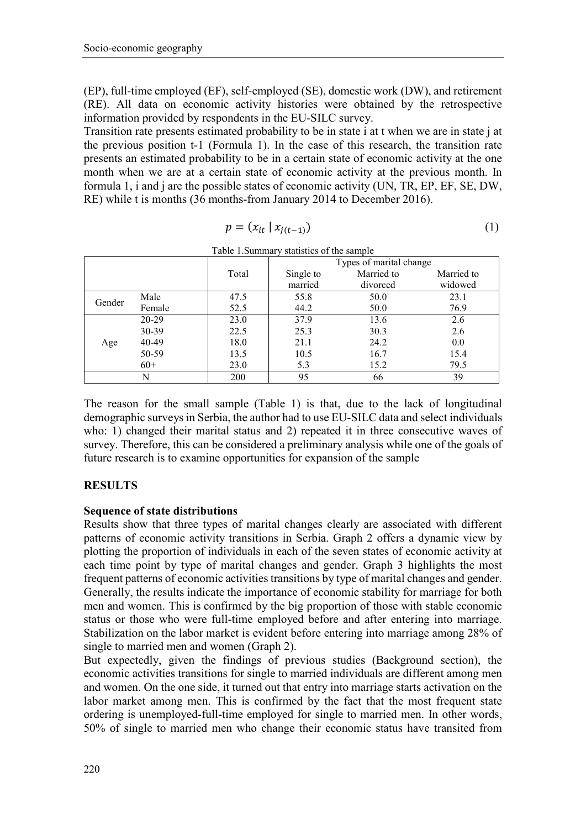(EP), full-time employed (EF), self-employed (SE), domestic work (DW), and retirement (RE). All data on economic activity histories were obtained by the retrospective information provided by respondents in the EU-SILC survey.

Transition rate presents estimated probability to be in state i at t when we are in state j at the previous position t-1 (Formula 1). In the case of this research, the transition rate presents an estimated probability to be in a certain state of economic activity at the one month when we are at a certain state of economic activity at the previous month. In formula 1, i and j are the possible states of economic activity (UN, TR, EP, EF, SE, DW, RE) while t is months (36 months-from January 2014 to December 2016).

$$
p = (x_{it} \mid x_{j(t-1)}) \tag{1}
$$

|        |         |       | Tuble 1.8 annihary statistics of the sample |            |            |
|--------|---------|-------|---------------------------------------------|------------|------------|
|        |         |       | Types of marital change                     |            |            |
|        |         | Total | Single to                                   | Married to | Married to |
|        |         |       | married                                     | divorced   | widowed    |
| Gender | Male    | 47.5  | 55.8                                        | 50.0       | 23.1       |
|        | Female  | 52.5  | 44.2                                        | 50.0       | 76.9       |
| Age    | $20-29$ | 23.0  | 37.9                                        | 13.6       | 2.6        |
|        | 30-39   | 22.5  | 25.3                                        | 30.3       | 2.6        |
|        | 40-49   | 18.0  | 21.1                                        | 24.2       | 0.0        |
|        | 50-59   | 13.5  | 10.5                                        | 16.7       | 15.4       |
|        | $60+$   | 23.0  | 5.3                                         | 15.2       | 79.5       |
|        | N       | 200   | 95                                          | 66         | 39         |

Table 1.Summary statistics of the sample

The reason for the small sample (Table 1) is that, due to the lack of longitudinal demographic surveys in Serbia, the author had to use EU-SILC data and select individuals who: 1) changed their marital status and 2) repeated it in three consecutive waves of survey. Therefore, this can be considered a preliminary analysis while one of the goals of future research is to examine opportunities for expansion of the sample

# **RESULTS**

### **Sequence of state distributions**

Results show that three types of marital changes clearly are associated with different patterns of economic activity transitions in Serbia. Graph 2 offers a dynamic view by plotting the proportion of individuals in each of the seven states of economic activity at each time point by type of marital changes and gender. Graph 3 highlights the most frequent patterns of economic activities transitions by type of marital changes and gender. Generally, the results indicate the importance of economic stability for marriage for both men and women. This is confirmed by the big proportion of those with stable economic status or those who were full-time employed before and after entering into marriage. Stabilization on the labor market is evident before entering into marriage among 28% of single to married men and women (Graph 2).

But expectedly, given the findings of previous studies (Background section), the economic activities transitions for single to married individuals are different among men and women. On the one side, it turned out that entry into marriage starts activation on the labor market among men. This is confirmed by the fact that the most frequent state ordering is unemployed-full-time employed for single to married men. In other words, 50% of single to married men who change their economic status have transited from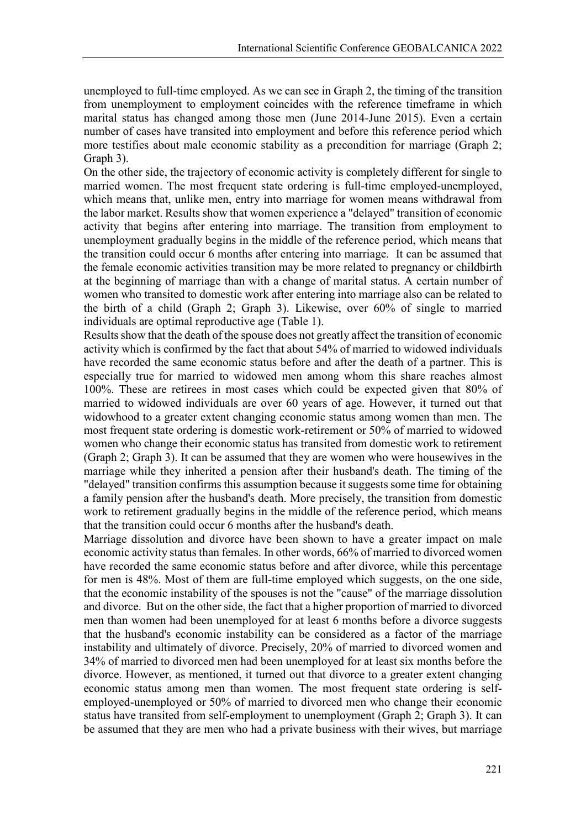unemployed to full-time employed. As we can see in Graph 2, the timing of the transition from unemployment to employment coincides with the reference timeframe in which marital status has changed among those men (June 2014-June 2015). Even a certain number of cases have transited into employment and before this reference period which more testifies about male economic stability as a precondition for marriage (Graph 2; Graph 3).

On the other side, the trajectory of economic activity is completely different for single to married women. The most frequent state ordering is full-time employed-unemployed, which means that, unlike men, entry into marriage for women means withdrawal from the labor market. Results show that women experience a "delayed" transition of economic activity that begins after entering into marriage. The transition from employment to unemployment gradually begins in the middle of the reference period, which means that the transition could occur 6 months after entering into marriage. It can be assumed that the female economic activities transition may be more related to pregnancy or childbirth at the beginning of marriage than with a change of marital status. A certain number of women who transited to domestic work after entering into marriage also can be related to the birth of a child (Graph 2; Graph 3). Likewise, over 60% of single to married individuals are optimal reproductive age (Table 1).

Results show that the death of the spouse does not greatly affect the transition of economic activity which is confirmed by the fact that about 54% of married to widowed individuals have recorded the same economic status before and after the death of a partner. This is especially true for married to widowed men among whom this share reaches almost 100%. These are retirees in most cases which could be expected given that 80% of married to widowed individuals are over 60 years of age. However, it turned out that widowhood to a greater extent changing economic status among women than men. The most frequent state ordering is domestic work-retirement or 50% of married to widowed women who change their economic status has transited from domestic work to retirement (Graph 2; Graph 3). It can be assumed that they are women who were housewives in the marriage while they inherited a pension after their husband's death. The timing of the "delayed" transition confirms this assumption because it suggests some time for obtaining a family pension after the husband's death. More precisely, the transition from domestic work to retirement gradually begins in the middle of the reference period, which means that the transition could occur 6 months after the husband's death.

Marriage dissolution and divorce have been shown to have a greater impact on male economic activity status than females. In other words, 66% of married to divorced women have recorded the same economic status before and after divorce, while this percentage for men is 48%. Most of them are full-time employed which suggests, on the one side, that the economic instability of the spouses is not the "cause" of the marriage dissolution and divorce. But on the other side, the fact that a higher proportion of married to divorced men than women had been unemployed for at least 6 months before a divorce suggests that the husband's economic instability can be considered as a factor of the marriage instability and ultimately of divorce. Precisely, 20% of married to divorced women and 34% of married to divorced men had been unemployed for at least six months before the divorce. However, as mentioned, it turned out that divorce to a greater extent changing economic status among men than women. The most frequent state ordering is selfemployed-unemployed or 50% of married to divorced men who change their economic status have transited from self-employment to unemployment (Graph 2; Graph 3). It can be assumed that they are men who had a private business with their wives, but marriage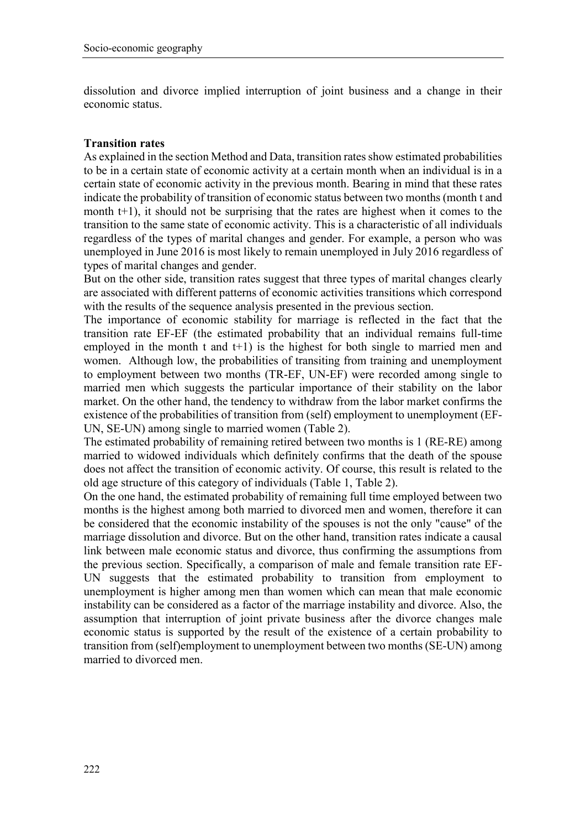dissolution and divorce implied interruption of joint business and a change in their economic status.

## **Transition rates**

As explained in the section Method and Data, transition rates show estimated probabilities to be in a certain state of economic activity at a certain month when an individual is in a certain state of economic activity in the previous month. Bearing in mind that these rates indicate the probability of transition of economic status between two months (month t and month t+1), it should not be surprising that the rates are highest when it comes to the transition to the same state of economic activity. This is a characteristic of all individuals regardless of the types of marital changes and gender. For example, a person who was unemployed in June 2016 is most likely to remain unemployed in July 2016 regardless of types of marital changes and gender.

But on the other side, transition rates suggest that three types of marital changes clearly are associated with different patterns of economic activities transitions which correspond with the results of the sequence analysis presented in the previous section.

The importance of economic stability for marriage is reflected in the fact that the transition rate EF-EF (the estimated probability that an individual remains full-time employed in the month t and  $t+1$ ) is the highest for both single to married men and women. Although low, the probabilities of transiting from training and unemployment to employment between two months (TR-EF, UN-EF) were recorded among single to married men which suggests the particular importance of their stability on the labor market. On the other hand, the tendency to withdraw from the labor market confirms the existence of the probabilities of transition from (self) employment to unemployment (EF-UN, SE-UN) among single to married women (Table 2).

The estimated probability of remaining retired between two months is 1 (RE-RE) among married to widowed individuals which definitely confirms that the death of the spouse does not affect the transition of economic activity. Of course, this result is related to the old age structure of this category of individuals (Table 1, Table 2).

On the one hand, the estimated probability of remaining full time employed between two months is the highest among both married to divorced men and women, therefore it can be considered that the economic instability of the spouses is not the only "cause" of the marriage dissolution and divorce. But on the other hand, transition rates indicate a causal link between male economic status and divorce, thus confirming the assumptions from the previous section. Specifically, a comparison of male and female transition rate EF-UN suggests that the estimated probability to transition from employment to unemployment is higher among men than women which can mean that male economic instability can be considered as a factor of the marriage instability and divorce. Also, the assumption that interruption of joint private business after the divorce changes male economic status is supported by the result of the existence of a certain probability to transition from (self)employment to unemployment between two months (SE-UN) among married to divorced men.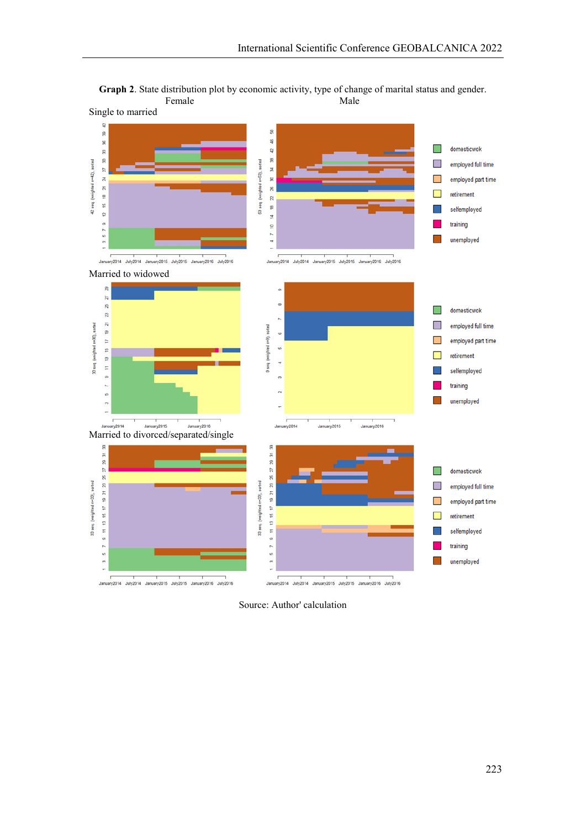

**Graph 2**. State distribution plot by economic activity, type of change of marital status and gender. Female Male

Source: Author' calculation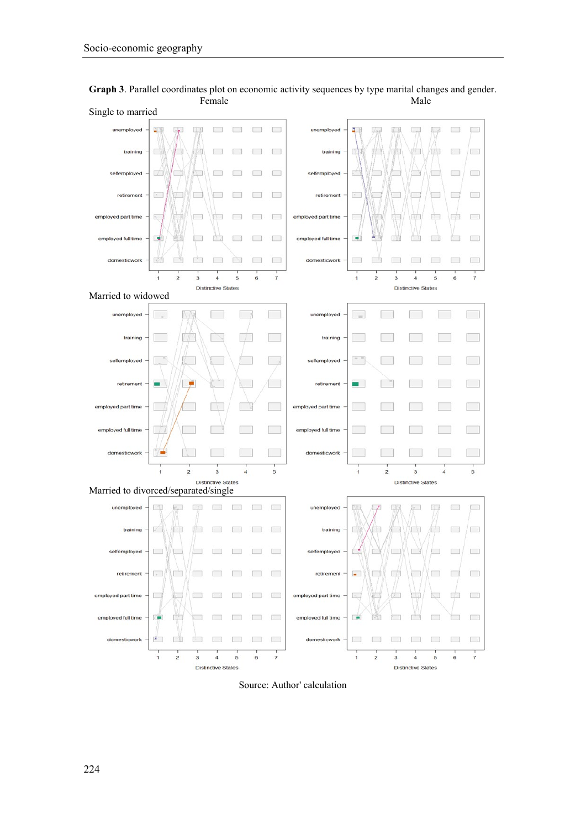

**Graph 3**. Parallel coordinates plot on economic activity sequences by type marital changes and gender. Female **Male** 

Source: Author' calculation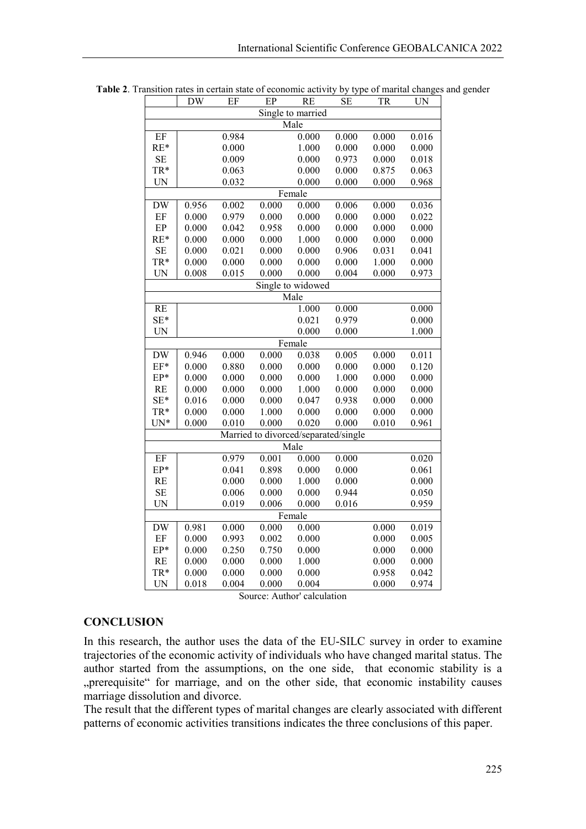|                   | DW    | EF    | EP    | RE     | SЕ                                   | TR    | UN    |  |  |  |  |
|-------------------|-------|-------|-------|--------|--------------------------------------|-------|-------|--|--|--|--|
| Single to married |       |       |       |        |                                      |       |       |  |  |  |  |
| Male              |       |       |       |        |                                      |       |       |  |  |  |  |
| EF                |       | 0.984 |       | 0.000  | 0.000                                | 0.000 | 0.016 |  |  |  |  |
| $RE*$             |       | 0.000 |       | 1.000  | 0.000                                | 0.000 | 0.000 |  |  |  |  |
| SE                |       | 0.009 |       | 0.000  | 0.973                                | 0.000 | 0.018 |  |  |  |  |
| TR*               |       | 0.063 |       | 0.000  | 0.000                                | 0.875 | 0.063 |  |  |  |  |
| <b>UN</b>         |       | 0.032 |       | 0.000  | 0.000                                | 0.000 | 0.968 |  |  |  |  |
| Female            |       |       |       |        |                                      |       |       |  |  |  |  |
| <b>DW</b>         | 0.956 | 0.002 | 0.000 | 0.000  | 0.006                                | 0.000 | 0.036 |  |  |  |  |
| EF                | 0.000 | 0.979 | 0.000 | 0.000  | 0.000                                | 0.000 | 0.022 |  |  |  |  |
| EP                | 0.000 | 0.042 | 0.958 | 0.000  | 0.000                                | 0.000 | 0.000 |  |  |  |  |
| $RE*$             | 0.000 | 0.000 | 0.000 | 1.000  | 0.000                                | 0.000 | 0.000 |  |  |  |  |
| SE                | 0.000 | 0.021 | 0.000 | 0.000  | 0.906                                | 0.031 | 0.041 |  |  |  |  |
| TR*               | 0.000 | 0.000 | 0.000 | 0.000  | 0.000                                | 1.000 | 0.000 |  |  |  |  |
| <b>UN</b>         | 0.008 | 0.015 | 0.000 | 0.000  | 0.004                                | 0.000 | 0.973 |  |  |  |  |
| Single to widowed |       |       |       |        |                                      |       |       |  |  |  |  |
|                   |       |       |       | Male   |                                      |       |       |  |  |  |  |
| RE                |       |       |       | 1.000  | 0.000                                |       | 0.000 |  |  |  |  |
| $SE*$             |       |       |       | 0.021  | 0.979                                |       | 0.000 |  |  |  |  |
| <b>UN</b>         |       |       |       | 0.000  | 0.000                                |       | 1.000 |  |  |  |  |
|                   |       |       |       | Female |                                      |       |       |  |  |  |  |
| <b>DW</b>         | 0.946 | 0.000 | 0.000 | 0.038  | 0.005                                | 0.000 | 0.011 |  |  |  |  |
| $EF*$             | 0.000 | 0.880 | 0.000 | 0.000  | 0.000                                | 0.000 | 0.120 |  |  |  |  |
| EP*               | 0.000 | 0.000 | 0.000 | 0.000  | 1.000                                | 0.000 | 0.000 |  |  |  |  |
| RE                | 0.000 | 0.000 | 0.000 | 1.000  | 0.000                                | 0.000 | 0.000 |  |  |  |  |
| $SE*$             | 0.016 | 0.000 | 0.000 | 0.047  | 0.938                                | 0.000 | 0.000 |  |  |  |  |
| TR*               | 0.000 | 0.000 | 1.000 | 0.000  | 0.000                                | 0.000 | 0.000 |  |  |  |  |
| $UN*$             | 0.000 | 0.010 | 0.000 | 0.020  | 0.000                                | 0.010 | 0.961 |  |  |  |  |
|                   |       |       |       |        | Married to divorced/separated/single |       |       |  |  |  |  |
|                   |       |       |       | Male   |                                      |       |       |  |  |  |  |
| EF                |       | 0.979 | 0.001 | 0.000  | 0.000                                |       | 0.020 |  |  |  |  |
| EP*               |       | 0.041 | 0.898 | 0.000  | 0.000                                |       | 0.061 |  |  |  |  |
| RE                |       | 0.000 | 0.000 | 1.000  | 0.000                                |       | 0.000 |  |  |  |  |
| <b>SE</b>         |       | 0.006 | 0.000 | 0.000  | 0.944                                |       | 0.050 |  |  |  |  |
| <b>UN</b>         |       | 0.019 | 0.006 | 0.000  | 0.016                                |       | 0.959 |  |  |  |  |
|                   |       |       |       | Female |                                      |       |       |  |  |  |  |
| <b>DW</b>         | 0.981 | 0.000 | 0.000 | 0.000  |                                      | 0.000 | 0.019 |  |  |  |  |
| EF                | 0.000 | 0.993 | 0.002 | 0.000  |                                      | 0.000 | 0.005 |  |  |  |  |
| EP*               | 0.000 | 0.250 | 0.750 | 0.000  |                                      | 0.000 | 0.000 |  |  |  |  |
| RE                | 0.000 | 0.000 | 0.000 | 1.000  |                                      | 0.000 | 0.000 |  |  |  |  |
| TR*               | 0.000 | 0.000 | 0.000 | 0.000  |                                      | 0.958 | 0.042 |  |  |  |  |
| <b>UN</b>         | 0.018 | 0.004 | 0.000 | 0.004  |                                      | 0.000 | 0.974 |  |  |  |  |

**Table 2**. Transition rates in certain state of economic activity by type of marital changes and gender

Source: Author' calculation

#### **CONCLUSION**

In this research, the author uses the data of the EU-SILC survey in order to examine trajectories of the economic activity of individuals who have changed marital status. The author started from the assumptions, on the one side, that economic stability is a "prerequisite" for marriage, and on the other side, that economic instability causes marriage dissolution and divorce.

The result that the different types of marital changes are clearly associated with different patterns of economic activities transitions indicates the three conclusions of this paper.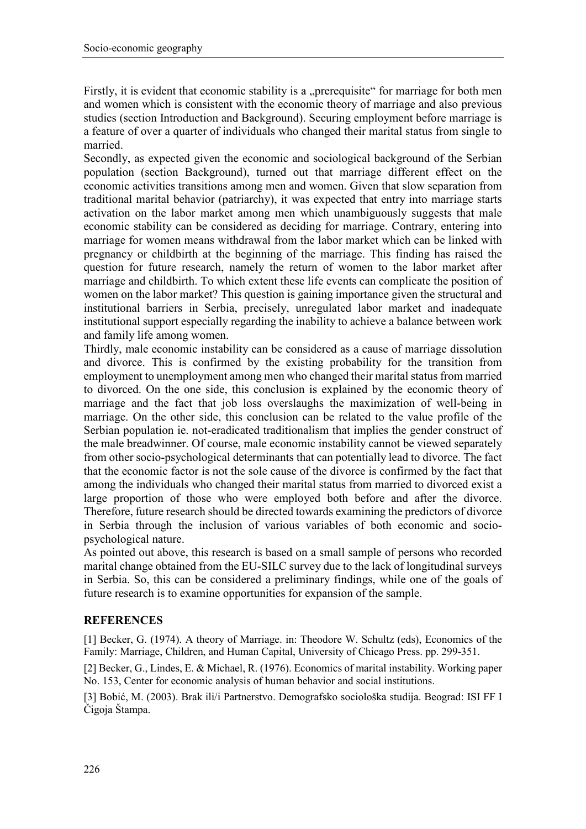Firstly, it is evident that economic stability is a "prerequisite" for marriage for both men and women which is consistent with the economic theory of marriage and also previous studies (section Introduction and Background). Securing employment before marriage is a feature of over a quarter of individuals who changed their marital status from single to married.

Secondly, as expected given the economic and sociological background of the Serbian population (section Background), turned out that marriage different effect on the economic activities transitions among men and women. Given that slow separation from traditional marital behavior (patriarchy), it was expected that entry into marriage starts activation on the labor market among men which unambiguously suggests that male economic stability can be considered as deciding for marriage. Contrary, entering into marriage for women means withdrawal from the labor market which can be linked with pregnancy or childbirth at the beginning of the marriage. This finding has raised the question for future research, namely the return of women to the labor market after marriage and childbirth. To which extent these life events can complicate the position of women on the labor market? This question is gaining importance given the structural and institutional barriers in Serbia, precisely, unregulated labor market and inadequate institutional support especially regarding the inability to achieve a balance between work and family life among women.

Thirdly, male economic instability can be considered as a cause of marriage dissolution and divorce. This is confirmed by the existing probability for the transition from employment to unemployment among men who changed their marital status from married to divorced. On the one side, this conclusion is explained by the economic theory of marriage and the fact that job loss overslaughs the maximization of well-being in marriage. On the other side, this conclusion can be related to the value profile of the Serbian population ie. not-eradicated traditionalism that implies the gender construct of the male breadwinner. Of course, male economic instability cannot be viewed separately from other socio-psychological determinants that can potentially lead to divorce. The fact that the economic factor is not the sole cause of the divorce is confirmed by the fact that among the individuals who changed their marital status from married to divorced exist a large proportion of those who were employed both before and after the divorce. Therefore, future research should be directed towards examining the predictors of divorce in Serbia through the inclusion of various variables of both economic and sociopsychological nature.

As pointed out above, this research is based on a small sample of persons who recorded marital change obtained from the EU-SILC survey due to the lack of longitudinal surveys in Serbia. So, this can be considered a preliminary findings, while one of the goals of future research is to examine opportunities for expansion of the sample.

# **REFERENCES**

[1] Becker, G. (1974). A theory of Marriage. in: Theodore W. Schultz (eds), Economics of the Family: Marriage, Children, and Human Capital, University of Chicago Press. pp. 299-351.

[2] Becker, G., Lindes, E. & Michael, R. (1976). Economics of marital instability. Working paper No. 153, Center for economic analysis of human behavior and social institutions.

[3] Bobić, M. (2003). Brak ili/i Partnerstvo. Demografsko sociološka studija. Beograd: ISI FF I Čigoja Štampa.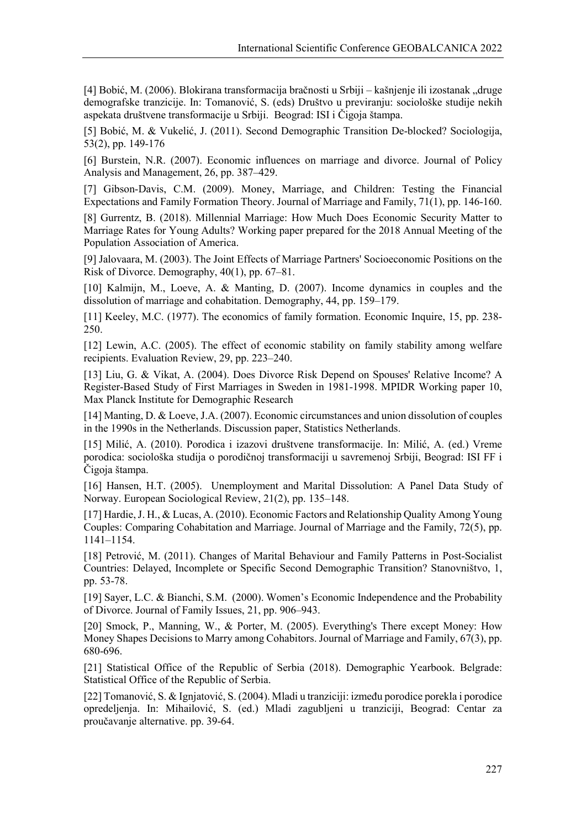[4] Bobić, M. (2006). Blokirana transformacija bračnosti u Srbiji – kašnjenje ili izostanak "druge demografske tranzicije. In: Tomanović, S. (eds) Društvo u previranju: sociološke studije nekih aspekata društvene transformacije u Srbiji. Beograd: ISI i Čigoja štampa.

[5] Bobić, M. & Vukelić, J. (2011). Second Demographic Transition De-blocked? Sociologija, 53(2), pp. 149-176

[6] Burstein, N.R. (2007). Economic influences on marriage and divorce. Journal of Policy Analysis and Management, 26, pp. 387–429.

[7] Gibson-Davis, C.M. (2009). Money, Marriage, and Children: Testing the Financial Expectations and Family Formation Theory. Journal of Marriage and Family, 71(1), pp. 146-160.

[8] Gurrentz, B. (2018). Millennial Marriage: How Much Does Economic Security Matter to Marriage Rates for Young Adults? Working paper prepared for the 2018 Annual Meeting of the Population Association of America.

[9] Jalovaara, M. (2003). The Joint Effects of Marriage Partners' Socioeconomic Positions on the Risk of Divorce. Demography, 40(1), pp. 67–81.

[10] Kalmijn, M., Loeve, A. & Manting, D. (2007). Income dynamics in couples and the dissolution of marriage and cohabitation. Demography, 44, pp. 159–179.

[11] Keeley, M.C. (1977). The economics of family formation. Economic Inquire, 15, pp. 238-250.

[12] Lewin, A.C. (2005). The effect of economic stability on family stability among welfare recipients. Evaluation Review, 29, pp. 223–240.

[13] Liu, G. & Vikat, A. (2004). Does Divorce Risk Depend on Spouses' Relative Income? A Register-Based Study of First Marriages in Sweden in 1981-1998. MPIDR Working paper 10, Max Planck Institute for Demographic Research

[14] Manting, D. & Loeve, J.A. (2007). Economic circumstances and union dissolution of couples in the 1990s in the Netherlands. Discussion paper, Statistics Netherlands.

[15] Milić, A. (2010). Porodica i izazovi društvene transformacije. In: Milić, A. (ed.) Vreme porodica: sociološka studija o porodičnoj transformaciji u savremenoj Srbiji, Beograd: ISI FF i Čigoja štampa.

[16] Hansen, H.T. (2005). Unemployment and Marital Dissolution: A Panel Data Study of Norway. European Sociological Review, 21(2), pp. 135–148.

[17] Hardie, J. H., & Lucas, A. (2010). Economic Factors and Relationship Quality Among Young Couples: Comparing Cohabitation and Marriage. Journal of Marriage and the Family, 72(5), pp. 1141–1154.

[18] Petrović, M. (2011). Changes of Marital Behaviour and Family Patterns in Post-Socialist Countries: Delayed, Incomplete or Specific Second Demographic Transition? Stanovništvo, 1, pp. 53-78.

[19] Sayer, L.C. & Bianchi, S.M. (2000). Women's Economic Independence and the Probability of Divorce. Journal of Family Issues, 21, pp. 906–943.

[20] Smock, P., Manning, W., & Porter, M. (2005). Everything's There except Money: How Money Shapes Decisions to Marry among Cohabitors. Journal of Marriage and Family, 67(3), pp. 680-696.

[21] Statistical Office of the Republic of Serbia (2018). Demographic Yearbook. Belgrade: Statistical Office of the Republic of Serbia.

[22] Tomanović, S. & Ignjatović, S. (2004). Mladi u tranziciji: između porodice porekla i porodice opredeljenja. In: Mihailović, S. (ed.) Mladi zagubljeni u tranziciji, Beograd: Centar za proučavanje alternative. pp. 39-64.